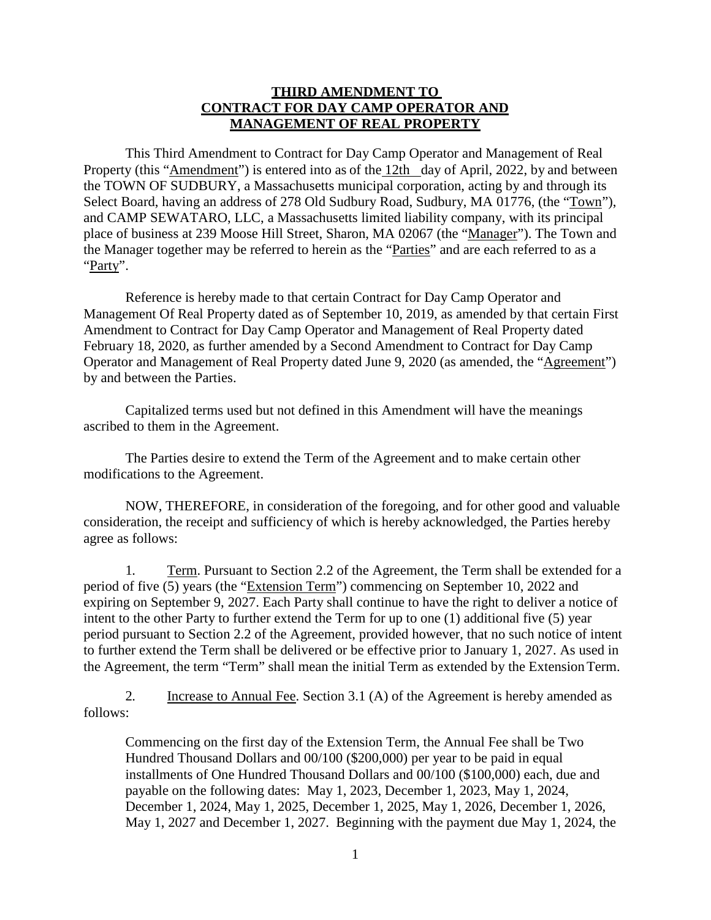## **THIRD AMENDMENT TO CONTRACT FOR DAY CAMP OPERATOR AND MANAGEMENT OF REAL PROPERTY**

This Third Amendment to Contract for Day Camp Operator and Management of Real Property (this "Amendment") is entered into as of the 12th day of April, 2022, by and between the TOWN OF SUDBURY, a Massachusetts municipal corporation, acting by and through its Select Board, having an address of 278 Old Sudbury Road, Sudbury, MA 01776, (the "Town"), and CAMP SEWATARO, LLC, a Massachusetts limited liability company, with its principal place of business at 239 Moose Hill Street, Sharon, MA 02067 (the "Manager"). The Town and the Manager together may be referred to herein as the "Parties" and are each referred to as a "Party".

Reference is hereby made to that certain Contract for Day Camp Operator and Management Of Real Property dated as of September 10, 2019, as amended by that certain First Amendment to Contract for Day Camp Operator and Management of Real Property dated February 18, 2020, as further amended by a Second Amendment to Contract for Day Camp Operator and Management of Real Property dated June 9, 2020 (as amended, the "Agreement") by and between the Parties.

Capitalized terms used but not defined in this Amendment will have the meanings ascribed to them in the Agreement.

The Parties desire to extend the Term of the Agreement and to make certain other modifications to the Agreement.

NOW, THEREFORE, in consideration of the foregoing, and for other good and valuable consideration, the receipt and sufficiency of which is hereby acknowledged, the Parties hereby agree as follows:

1. Term. Pursuant to Section 2.2 of the Agreement, the Term shall be extended for a period of five (5) years (the "Extension Term") commencing on September 10, 2022 and expiring on September 9, 2027. Each Party shall continue to have the right to deliver a notice of intent to the other Party to further extend the Term for up to one (1) additional five (5) year period pursuant to Section 2.2 of the Agreement, provided however, that no such notice of intent to further extend the Term shall be delivered or be effective prior to January 1, 2027. As used in the Agreement, the term "Term" shall mean the initial Term as extended by the ExtensionTerm.

2. Increase to Annual Fee. Section 3.1 (A) of the Agreement is hereby amended as follows:

Commencing on the first day of the Extension Term, the Annual Fee shall be Two Hundred Thousand Dollars and 00/100 (\$200,000) per year to be paid in equal installments of One Hundred Thousand Dollars and 00/100 (\$100,000) each, due and payable on the following dates: May 1, 2023, December 1, 2023, May 1, 2024, December 1, 2024, May 1, 2025, December 1, 2025, May 1, 2026, December 1, 2026, May 1, 2027 and December 1, 2027. Beginning with the payment due May 1, 2024, the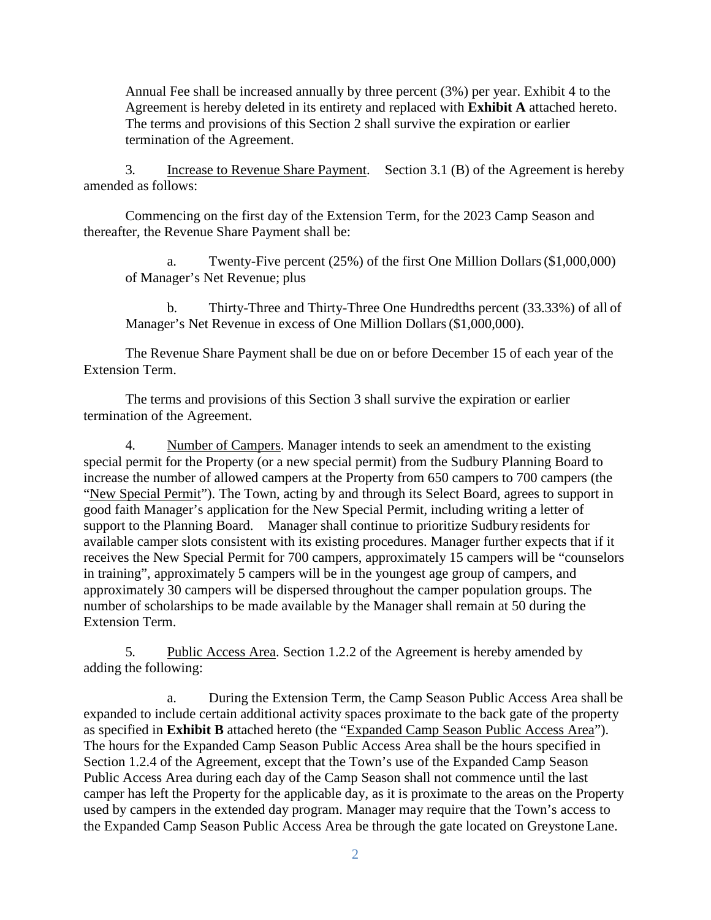Annual Fee shall be increased annually by three percent (3%) per year. Exhibit 4 to the Agreement is hereby deleted in its entirety and replaced with **Exhibit A** attached hereto. The terms and provisions of this Section 2 shall survive the expiration or earlier termination of the Agreement.

3. Increase to Revenue Share Payment. Section 3.1 (B) of the Agreement is hereby amended as follows:

Commencing on the first day of the Extension Term, for the 2023 Camp Season and thereafter, the Revenue Share Payment shall be:

a. Twenty-Five percent (25%) of the first One Million Dollars(\$1,000,000) of Manager's Net Revenue; plus

b. Thirty-Three and Thirty-Three One Hundredths percent (33.33%) of all of Manager's Net Revenue in excess of One Million Dollars(\$1,000,000).

The Revenue Share Payment shall be due on or before December 15 of each year of the Extension Term.

The terms and provisions of this Section 3 shall survive the expiration or earlier termination of the Agreement.

4. Number of Campers. Manager intends to seek an amendment to the existing special permit for the Property (or a new special permit) from the Sudbury Planning Board to increase the number of allowed campers at the Property from 650 campers to 700 campers (the "New Special Permit"). The Town, acting by and through its Select Board, agrees to support in good faith Manager's application for the New Special Permit, including writing a letter of support to the Planning Board. Manager shall continue to prioritize Sudbury residents for available camper slots consistent with its existing procedures. Manager further expects that if it receives the New Special Permit for 700 campers, approximately 15 campers will be "counselors in training", approximately 5 campers will be in the youngest age group of campers, and approximately 30 campers will be dispersed throughout the camper population groups. The number of scholarships to be made available by the Manager shall remain at 50 during the Extension Term.

5. Public Access Area. Section 1.2.2 of the Agreement is hereby amended by adding the following:

a. During the Extension Term, the Camp Season Public Access Area shall be expanded to include certain additional activity spaces proximate to the back gate of the property as specified in **Exhibit B** attached hereto (the "Expanded Camp Season Public Access Area"). The hours for the Expanded Camp Season Public Access Area shall be the hours specified in Section 1.2.4 of the Agreement, except that the Town's use of the Expanded Camp Season Public Access Area during each day of the Camp Season shall not commence until the last camper has left the Property for the applicable day, as it is proximate to the areas on the Property used by campers in the extended day program. Manager may require that the Town's access to the Expanded Camp Season Public Access Area be through the gate located on GreystoneLane.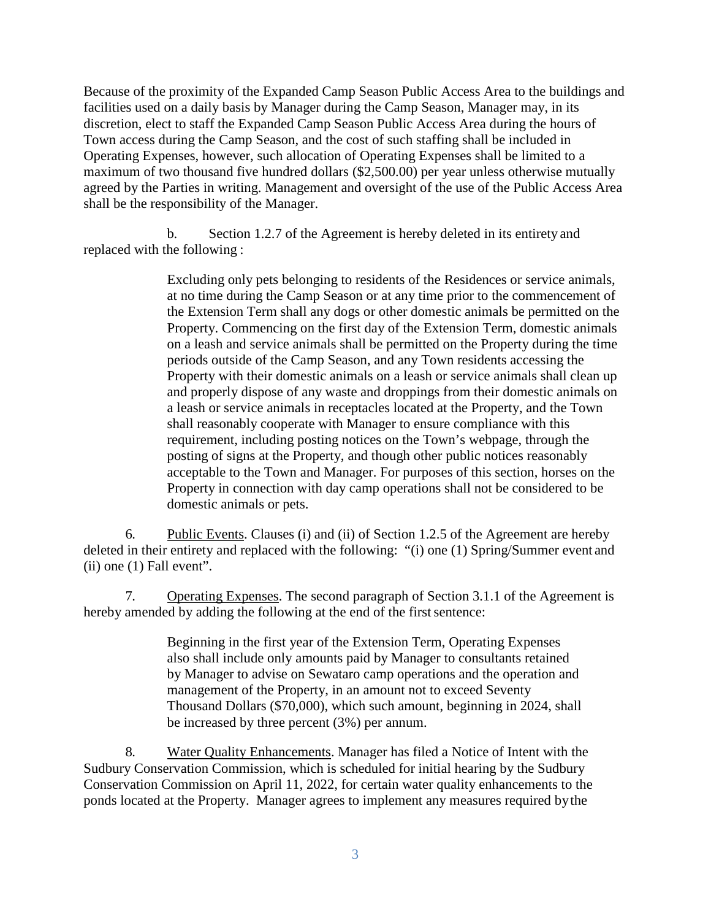Because of the proximity of the Expanded Camp Season Public Access Area to the buildings and facilities used on a daily basis by Manager during the Camp Season, Manager may, in its discretion, elect to staff the Expanded Camp Season Public Access Area during the hours of Town access during the Camp Season, and the cost of such staffing shall be included in Operating Expenses, however, such allocation of Operating Expenses shall be limited to a maximum of two thousand five hundred dollars (\$2,500.00) per year unless otherwise mutually agreed by the Parties in writing. Management and oversight of the use of the Public Access Area shall be the responsibility of the Manager.

b. Section 1.2.7 of the Agreement is hereby deleted in its entirety and replaced with the following :

> Excluding only pets belonging to residents of the Residences or service animals, at no time during the Camp Season or at any time prior to the commencement of the Extension Term shall any dogs or other domestic animals be permitted on the Property. Commencing on the first day of the Extension Term, domestic animals on a leash and service animals shall be permitted on the Property during the time periods outside of the Camp Season, and any Town residents accessing the Property with their domestic animals on a leash or service animals shall clean up and properly dispose of any waste and droppings from their domestic animals on a leash or service animals in receptacles located at the Property, and the Town shall reasonably cooperate with Manager to ensure compliance with this requirement, including posting notices on the Town's webpage, through the posting of signs at the Property, and though other public notices reasonably acceptable to the Town and Manager. For purposes of this section, horses on the Property in connection with day camp operations shall not be considered to be domestic animals or pets.

6. Public Events. Clauses (i) and (ii) of Section 1.2.5 of the Agreement are hereby deleted in their entirety and replaced with the following: "(i) one (1) Spring/Summer event and (ii) one (1) Fall event".

7. Operating Expenses. The second paragraph of Section 3.1.1 of the Agreement is hereby amended by adding the following at the end of the first sentence:

> Beginning in the first year of the Extension Term, Operating Expenses also shall include only amounts paid by Manager to consultants retained by Manager to advise on Sewataro camp operations and the operation and management of the Property, in an amount not to exceed Seventy Thousand Dollars (\$70,000), which such amount, beginning in 2024, shall be increased by three percent (3%) per annum.

8. Water Quality Enhancements. Manager has filed a Notice of Intent with the Sudbury Conservation Commission, which is scheduled for initial hearing by the Sudbury Conservation Commission on April 11, 2022, for certain water quality enhancements to the ponds located at the Property. Manager agrees to implement any measures required bythe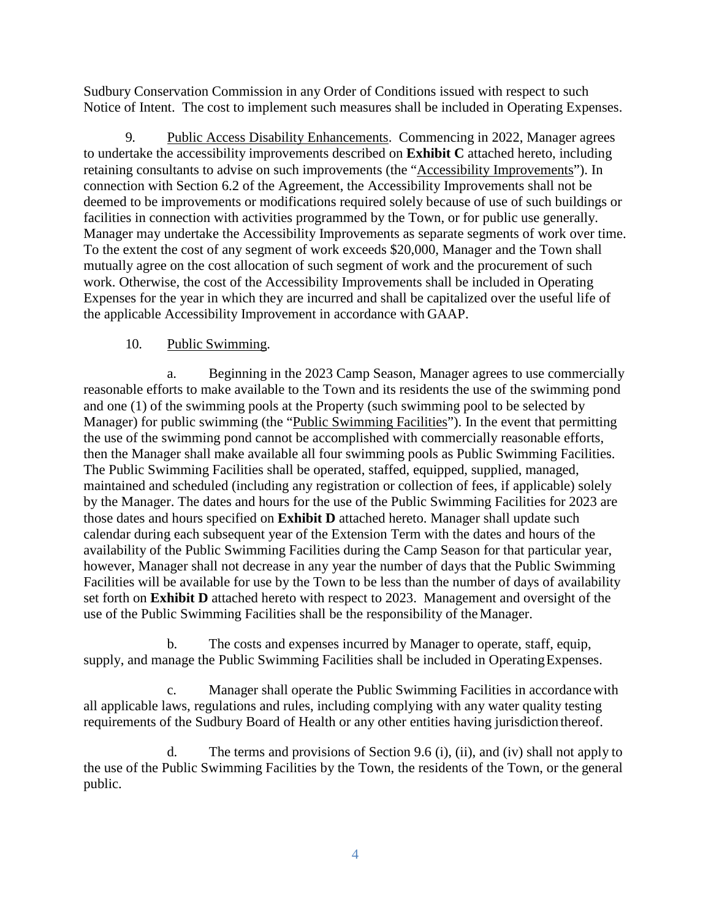Sudbury Conservation Commission in any Order of Conditions issued with respect to such Notice of Intent. The cost to implement such measures shall be included in Operating Expenses.

9. Public Access Disability Enhancements. Commencing in 2022, Manager agrees to undertake the accessibility improvements described on **Exhibit C** attached hereto, including retaining consultants to advise on such improvements (the "Accessibility Improvements"). In connection with Section 6.2 of the Agreement, the Accessibility Improvements shall not be deemed to be improvements or modifications required solely because of use of such buildings or facilities in connection with activities programmed by the Town, or for public use generally. Manager may undertake the Accessibility Improvements as separate segments of work over time. To the extent the cost of any segment of work exceeds \$20,000, Manager and the Town shall mutually agree on the cost allocation of such segment of work and the procurement of such work. Otherwise, the cost of the Accessibility Improvements shall be included in Operating Expenses for the year in which they are incurred and shall be capitalized over the useful life of the applicable Accessibility Improvement in accordance with GAAP.

## 10. Public Swimming.

a. Beginning in the 2023 Camp Season, Manager agrees to use commercially reasonable efforts to make available to the Town and its residents the use of the swimming pond and one (1) of the swimming pools at the Property (such swimming pool to be selected by Manager) for public swimming (the "Public Swimming Facilities"). In the event that permitting the use of the swimming pond cannot be accomplished with commercially reasonable efforts, then the Manager shall make available all four swimming pools as Public Swimming Facilities. The Public Swimming Facilities shall be operated, staffed, equipped, supplied, managed, maintained and scheduled (including any registration or collection of fees, if applicable) solely by the Manager. The dates and hours for the use of the Public Swimming Facilities for 2023 are those dates and hours specified on **Exhibit D** attached hereto. Manager shall update such calendar during each subsequent year of the Extension Term with the dates and hours of the availability of the Public Swimming Facilities during the Camp Season for that particular year, however, Manager shall not decrease in any year the number of days that the Public Swimming Facilities will be available for use by the Town to be less than the number of days of availability set forth on **Exhibit D** attached hereto with respect to 2023. Management and oversight of the use of the Public Swimming Facilities shall be the responsibility of theManager.

b. The costs and expenses incurred by Manager to operate, staff, equip, supply, and manage the Public Swimming Facilities shall be included in Operating Expenses.

c. Manager shall operate the Public Swimming Facilities in accordancewith all applicable laws, regulations and rules, including complying with any water quality testing requirements of the Sudbury Board of Health or any other entities having jurisdiction thereof.

d. The terms and provisions of Section 9.6 (i), (ii), and (iv) shall not apply to the use of the Public Swimming Facilities by the Town, the residents of the Town, or the general public.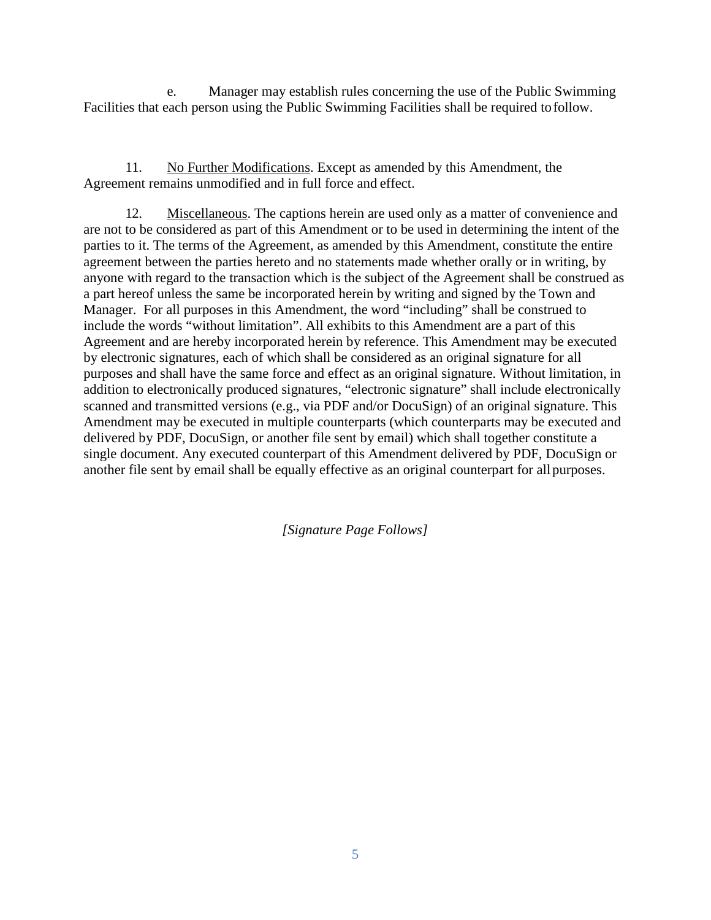e. Manager may establish rules concerning the use of the Public Swimming Facilities that each person using the Public Swimming Facilities shall be required tofollow.

11. No Further Modifications. Except as amended by this Amendment, the Agreement remains unmodified and in full force and effect.

12. Miscellaneous. The captions herein are used only as a matter of convenience and are not to be considered as part of this Amendment or to be used in determining the intent of the parties to it. The terms of the Agreement, as amended by this Amendment, constitute the entire agreement between the parties hereto and no statements made whether orally or in writing, by anyone with regard to the transaction which is the subject of the Agreement shall be construed as a part hereof unless the same be incorporated herein by writing and signed by the Town and Manager. For all purposes in this Amendment, the word "including" shall be construed to include the words "without limitation". All exhibits to this Amendment are a part of this Agreement and are hereby incorporated herein by reference. This Amendment may be executed by electronic signatures, each of which shall be considered as an original signature for all purposes and shall have the same force and effect as an original signature. Without limitation, in addition to electronically produced signatures, "electronic signature" shall include electronically scanned and transmitted versions (e.g., via PDF and/or DocuSign) of an original signature. This Amendment may be executed in multiple counterparts (which counterparts may be executed and delivered by PDF, DocuSign, or another file sent by email) which shall together constitute a single document. Any executed counterpart of this Amendment delivered by PDF, DocuSign or another file sent by email shall be equally effective as an original counterpart for allpurposes.

*[Signature Page Follows]*